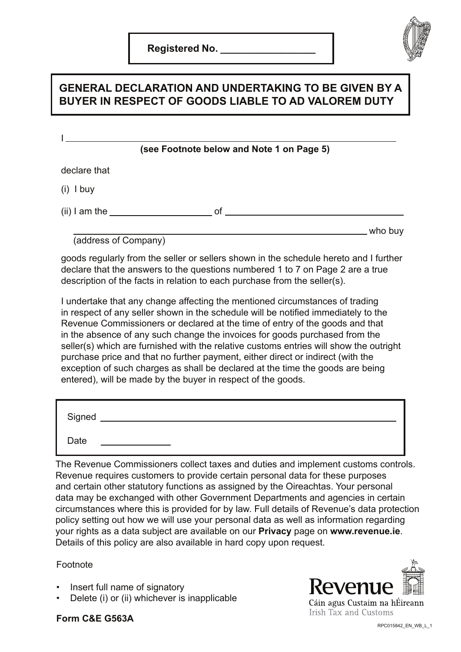

### **GENERAL DECLARATION AND UNDERTAKING TO BE GIVEN BY A BUYER IN RESPECT OF GOODS LIABLE TO AD VALOREM DUTY**

|                                                                              | (see Footnote below and Note 1 on Page 5) |         |
|------------------------------------------------------------------------------|-------------------------------------------|---------|
| declare that                                                                 |                                           |         |
| $(i)$ I buy                                                                  |                                           |         |
| $(ii)$ I am the $\_\_\_\_\_\_\_\_\_\_\_\_\_\_\_\_\_\_\_\_\_\_\_\_\_\_\_\_\_$ | 0f                                        |         |
| (address of Company)                                                         |                                           | who buy |

goods regularly from the seller or sellers shown in the schedule hereto and I further declare that the answers to the questions numbered 1 to 7 on Page 2 are a true description of the facts in relation to each purchase from the seller(s).

I undertake that any change affecting the mentioned circumstances of trading in respect of any seller shown in the schedule will be notified immediately to the Revenue Commissioners or declared at the time of entry of the goods and that in the absence of any such change the invoices for goods purchased from the seller(s) which are furnished with the relative customs entries will show the outright purchase price and that no further payment, either direct or indirect (with the exception of such charges as shall be declared at the time the goods are being entered), will be made by the buyer in respect of the goods.

| Signed |  |
|--------|--|
| Date   |  |

The Revenue Commissioners collect taxes and duties and implement customs controls. Revenue requires customers to provide certain personal data for these purposes and certain other statutory functions as assigned by the Oireachtas. Your personal data may be exchanged with other Government Departments and agencies in certain circumstances where this is provided for by law. Full details of Revenue's data protection policy setting out how we will use your personal data as well as information regarding your rights as a data subject are available on our **[Privacy](https://www.revenue.ie/en/online-services/support/data-and-security/privacy/index.aspx)** page on **[www.revenue.ie](https://www.revenue.ie/en/online-services/support/data-and-security/privacy/index.aspx)**. Details of this policy are also available in hard copy upon request.

### Footnote

- Insert full name of signatory
- Delete (i) or (ii) whichever is inapplicable



### **Form C&E G563A**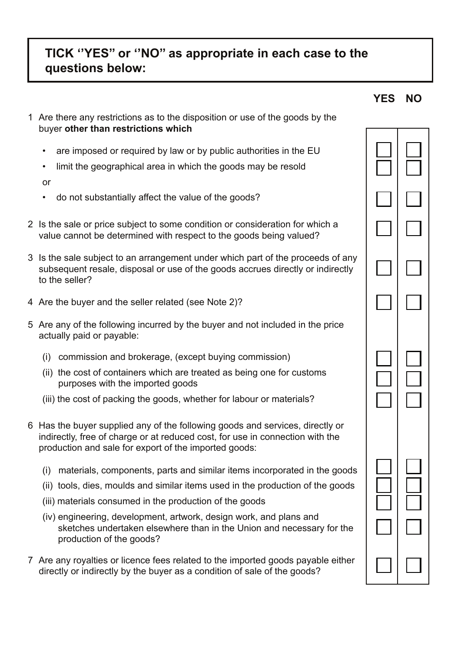# **TICK ''YES'' or ''NO'' as appropriate in each case to the questions below:**

1 Are there any restrictions as to the disposition or use of the goods by the

**YES NO**

| buyer other than restrictions which                                                                                                                                                                                                                                                                                                                                                                  |  |
|------------------------------------------------------------------------------------------------------------------------------------------------------------------------------------------------------------------------------------------------------------------------------------------------------------------------------------------------------------------------------------------------------|--|
| are imposed or required by law or by public authorities in the EU<br>limit the geographical area in which the goods may be resold<br>٠<br>or                                                                                                                                                                                                                                                         |  |
| do not substantially affect the value of the goods?                                                                                                                                                                                                                                                                                                                                                  |  |
| 2 Is the sale or price subject to some condition or consideration for which a<br>value cannot be determined with respect to the goods being valued?                                                                                                                                                                                                                                                  |  |
| 3 Is the sale subject to an arrangement under which part of the proceeds of any<br>subsequent resale, disposal or use of the goods accrues directly or indirectly<br>to the seller?                                                                                                                                                                                                                  |  |
| 4 Are the buyer and the seller related (see Note 2)?                                                                                                                                                                                                                                                                                                                                                 |  |
| 5 Are any of the following incurred by the buyer and not included in the price<br>actually paid or payable:                                                                                                                                                                                                                                                                                          |  |
| commission and brokerage, (except buying commission)<br>(i)<br>(ii) the cost of containers which are treated as being one for customs<br>purposes with the imported goods<br>(iii) the cost of packing the goods, whether for labour or materials?                                                                                                                                                   |  |
| 6 Has the buyer supplied any of the following goods and services, directly or<br>indirectly, free of charge or at reduced cost, for use in connection with the<br>production and sale for export of the imported goods:                                                                                                                                                                              |  |
| (i) materials, components, parts and similar items incorporated in the goods<br>(ii) tools, dies, moulds and similar items used in the production of the goods<br>(iii) materials consumed in the production of the goods<br>(iv) engineering, development, artwork, design work, and plans and<br>sketches undertaken elsewhere than in the Union and necessary for the<br>production of the goods? |  |
| 7 Are any royalties or licence fees related to the imported goods payable either<br>directly or indirectly by the buyer as a condition of sale of the goods?                                                                                                                                                                                                                                         |  |
|                                                                                                                                                                                                                                                                                                                                                                                                      |  |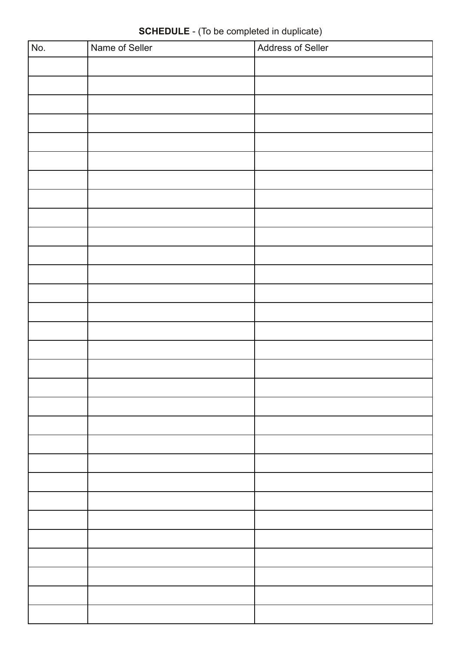| $\overline{No.}$ | Name of Seller | Address of Seller |
|------------------|----------------|-------------------|
|                  |                |                   |
|                  |                |                   |
|                  |                |                   |
|                  |                |                   |
|                  |                |                   |
|                  |                |                   |
|                  |                |                   |
|                  |                |                   |
|                  |                |                   |
|                  |                |                   |
|                  |                |                   |
|                  |                |                   |
|                  |                |                   |
|                  |                |                   |
|                  |                |                   |
|                  |                |                   |
|                  |                |                   |
|                  |                |                   |
|                  |                |                   |
|                  |                |                   |
|                  |                |                   |
|                  |                |                   |
|                  |                |                   |
|                  |                |                   |
|                  |                |                   |
|                  |                |                   |
|                  |                |                   |
|                  |                |                   |
|                  |                |                   |
|                  |                |                   |

# **SCHEDULE** - (To be completed in duplicate)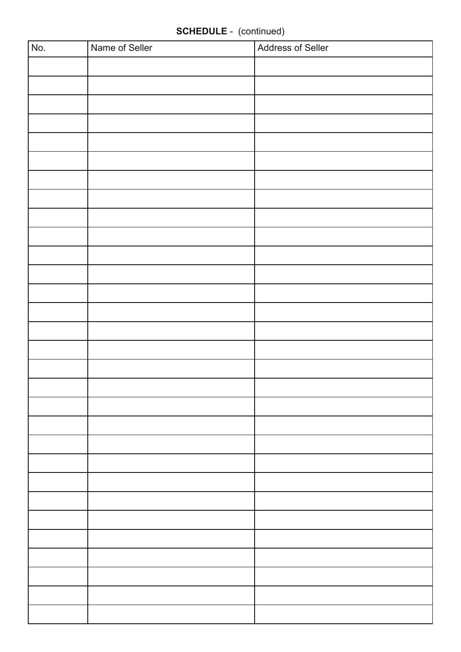# **SCHEDULE** - (continued)

| No. | Name of Seller | <b>Address of Seller</b> |
|-----|----------------|--------------------------|
|     |                |                          |
|     |                |                          |
|     |                |                          |
|     |                |                          |
|     |                |                          |
|     |                |                          |
|     |                |                          |
|     |                |                          |
|     |                |                          |
|     |                |                          |
|     |                |                          |
|     |                |                          |
|     |                |                          |
|     |                |                          |
|     |                |                          |
|     |                |                          |
|     |                |                          |
|     |                |                          |
|     |                |                          |
|     |                |                          |
|     |                |                          |
|     |                |                          |
|     |                |                          |
|     |                |                          |
|     |                |                          |
|     |                |                          |
|     |                |                          |
|     |                |                          |
|     |                |                          |
|     |                |                          |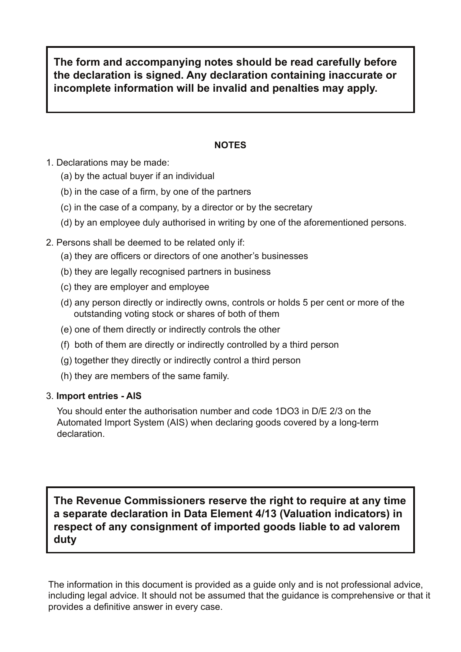**The form and accompanying notes should be read carefully before the declaration is signed. Any declaration containing inaccurate or incomplete information will be invalid and penalties may apply.**

### **NOTES**

- 1. Declarations may be made:
	- (a) by the actual buyer if an individual
	- (b) in the case of a firm, by one of the partners
	- (c) in the case of a company, by a director or by the secretary
	- (d) by an employee duly authorised in writing by one of the aforementioned persons.
- 2. Persons shall be deemed to be related only if:
	- (a) they are officers or directors of one another's businesses
	- (b) they are legally recognised partners in business
	- (c) they are employer and employee
	- (d) any person directly or indirectly owns, controls or holds 5 per cent or more of the outstanding voting stock or shares of both of them
	- (e) one of them directly or indirectly controls the other
	- (f) both of them are directly or indirectly controlled by a third person
	- (g) together they directly or indirectly control a third person
	- (h) they are members of the same family.

### 3. **Import entries - AIS**

You should enter the authorisation number and code 1DO3 in D/E 2/3 on the Automated Import System (AIS) when declaring goods covered by a long-term declaration.

**The Revenue Commissioners reserve the right to require at any time a separate declaration in Data Element 4/13 (Valuation indicators) in respect of any consignment of imported goods liable to ad valorem duty**

The information in this document is provided as a guide only and is not professional advice, including legal advice. It should not be assumed that the guidance is comprehensive or that it provides a definitive answer in every case.